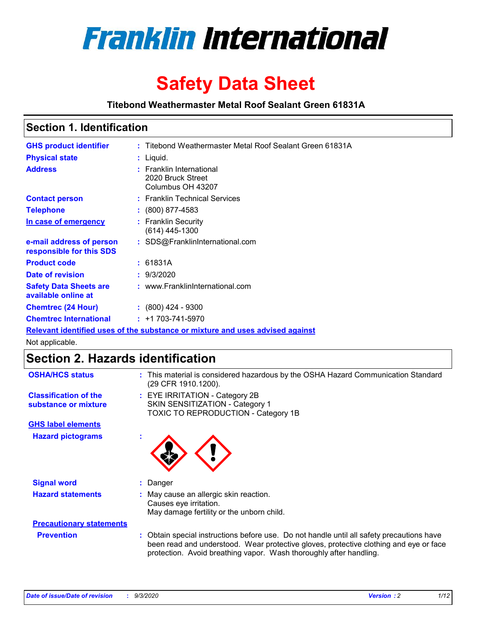

# **Safety Data Sheet**

**Titebond Weathermaster Metal Roof Sealant Green 61831A**

### **Section 1. Identification**

| <b>GHS product identifier</b>                                                 |  | : Titebond Weathermaster Metal Roof Sealant Green 61831A           |  |
|-------------------------------------------------------------------------------|--|--------------------------------------------------------------------|--|
| <b>Physical state</b>                                                         |  | $:$ Liquid.                                                        |  |
| <b>Address</b>                                                                |  | : Franklin International<br>2020 Bruck Street<br>Columbus OH 43207 |  |
| <b>Contact person</b>                                                         |  | : Franklin Technical Services                                      |  |
| <b>Telephone</b>                                                              |  | $\div$ (800) 877-4583                                              |  |
| In case of emergency                                                          |  | : Franklin Security<br>(614) 445-1300                              |  |
| e-mail address of person<br>responsible for this SDS                          |  | : SDS@FranklinInternational.com                                    |  |
| <b>Product code</b>                                                           |  | : 61831A                                                           |  |
| Date of revision                                                              |  | : 9/3/2020                                                         |  |
| <b>Safety Data Sheets are</b><br>available online at                          |  | : www.FranklinInternational.com                                    |  |
| <b>Chemtrec (24 Hour)</b>                                                     |  | $\div$ (800) 424 - 9300                                            |  |
| <b>Chemtrec International</b>                                                 |  | $: +1703 - 741 - 5970$                                             |  |
| Relevant identified uses of the substance or mixture and uses advised against |  |                                                                    |  |

Not applicable.

# **Section 2. Hazards identification**

| <b>OSHA/HCS status</b>                               | : This material is considered hazardous by the OSHA Hazard Communication Standard<br>(29 CFR 1910.1200).                                                                                                                                                 |
|------------------------------------------------------|----------------------------------------------------------------------------------------------------------------------------------------------------------------------------------------------------------------------------------------------------------|
| <b>Classification of the</b><br>substance or mixture | : EYE IRRITATION - Category 2B<br>SKIN SENSITIZATION - Category 1<br>TOXIC TO REPRODUCTION - Category 1B                                                                                                                                                 |
| <b>GHS label elements</b>                            |                                                                                                                                                                                                                                                          |
| <b>Hazard pictograms</b>                             |                                                                                                                                                                                                                                                          |
| <b>Signal word</b>                                   | : Danger                                                                                                                                                                                                                                                 |
| <b>Hazard statements</b>                             | : May cause an allergic skin reaction.<br>Causes eye irritation.<br>May damage fertility or the unborn child.                                                                                                                                            |
| <b>Precautionary statements</b>                      |                                                                                                                                                                                                                                                          |
| <b>Prevention</b>                                    | : Obtain special instructions before use. Do not handle until all safety precautions have<br>been read and understood. Wear protective gloves, protective clothing and eye or face<br>protection. Avoid breathing vapor. Wash thoroughly after handling. |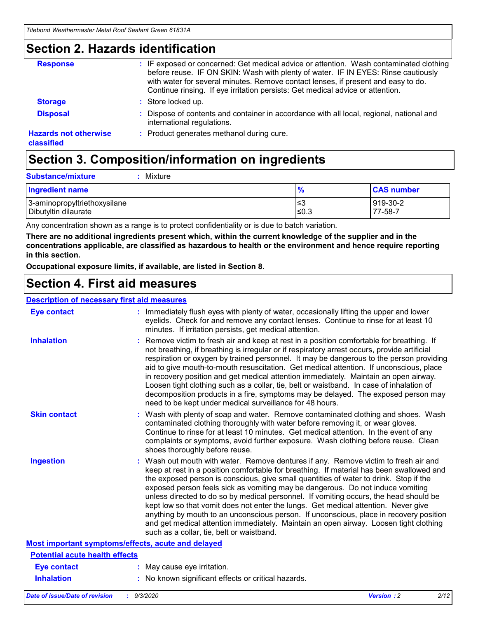### **Section 2. Hazards identification**

| <b>Response</b>                            | : IF exposed or concerned: Get medical advice or attention. Wash contaminated clothing<br>before reuse. IF ON SKIN: Wash with plenty of water. IF IN EYES: Rinse cautiously<br>with water for several minutes. Remove contact lenses, if present and easy to do.<br>Continue rinsing. If eye irritation persists: Get medical advice or attention. |
|--------------------------------------------|----------------------------------------------------------------------------------------------------------------------------------------------------------------------------------------------------------------------------------------------------------------------------------------------------------------------------------------------------|
| <b>Storage</b>                             | : Store locked up.                                                                                                                                                                                                                                                                                                                                 |
| <b>Disposal</b>                            | : Dispose of contents and container in accordance with all local, regional, national and<br>international regulations.                                                                                                                                                                                                                             |
| <b>Hazards not otherwise</b><br>classified | : Product generates methanol during cure.                                                                                                                                                                                                                                                                                                          |

# **Section 3. Composition/information on ingredients**

| <b>Substance/mixture</b> | Mixture |
|--------------------------|---------|
|                          |         |

| <b>Ingredient name</b>       | $\frac{9}{6}$ | <b>CAS number</b> |
|------------------------------|---------------|-------------------|
| 3-aminopropyltriethoxysilane | ՝≤3           | 919-30-2          |
| Dibutyltin dilaurate         | ∣≤0.3         | 77-58-7           |

Any concentration shown as a range is to protect confidentiality or is due to batch variation.

**There are no additional ingredients present which, within the current knowledge of the supplier and in the concentrations applicable, are classified as hazardous to health or the environment and hence require reporting in this section.**

**Occupational exposure limits, if available, are listed in Section 8.**

### **Section 4. First aid measures**

| <b>Description of necessary first aid measures</b> |                                                                                                                                                                                                                                                                                                                                                                                                                                                                                                                                                                                                                                                                                                                                                                           |
|----------------------------------------------------|---------------------------------------------------------------------------------------------------------------------------------------------------------------------------------------------------------------------------------------------------------------------------------------------------------------------------------------------------------------------------------------------------------------------------------------------------------------------------------------------------------------------------------------------------------------------------------------------------------------------------------------------------------------------------------------------------------------------------------------------------------------------------|
| <b>Eye contact</b>                                 | : Immediately flush eyes with plenty of water, occasionally lifting the upper and lower<br>eyelids. Check for and remove any contact lenses. Continue to rinse for at least 10<br>minutes. If irritation persists, get medical attention.                                                                                                                                                                                                                                                                                                                                                                                                                                                                                                                                 |
| <b>Inhalation</b>                                  | : Remove victim to fresh air and keep at rest in a position comfortable for breathing. If<br>not breathing, if breathing is irregular or if respiratory arrest occurs, provide artificial<br>respiration or oxygen by trained personnel. It may be dangerous to the person providing<br>aid to give mouth-to-mouth resuscitation. Get medical attention. If unconscious, place<br>in recovery position and get medical attention immediately. Maintain an open airway.<br>Loosen tight clothing such as a collar, tie, belt or waistband. In case of inhalation of<br>decomposition products in a fire, symptoms may be delayed. The exposed person may<br>need to be kept under medical surveillance for 48 hours.                                                       |
| <b>Skin contact</b>                                | : Wash with plenty of soap and water. Remove contaminated clothing and shoes. Wash<br>contaminated clothing thoroughly with water before removing it, or wear gloves.<br>Continue to rinse for at least 10 minutes. Get medical attention. In the event of any<br>complaints or symptoms, avoid further exposure. Wash clothing before reuse. Clean<br>shoes thoroughly before reuse.                                                                                                                                                                                                                                                                                                                                                                                     |
| <b>Ingestion</b>                                   | : Wash out mouth with water. Remove dentures if any. Remove victim to fresh air and<br>keep at rest in a position comfortable for breathing. If material has been swallowed and<br>the exposed person is conscious, give small quantities of water to drink. Stop if the<br>exposed person feels sick as vomiting may be dangerous. Do not induce vomiting<br>unless directed to do so by medical personnel. If vomiting occurs, the head should be<br>kept low so that vomit does not enter the lungs. Get medical attention. Never give<br>anything by mouth to an unconscious person. If unconscious, place in recovery position<br>and get medical attention immediately. Maintain an open airway. Loosen tight clothing<br>such as a collar, tie, belt or waistband. |
| Most important symptoms/effects, acute and delayed |                                                                                                                                                                                                                                                                                                                                                                                                                                                                                                                                                                                                                                                                                                                                                                           |
| <b>Potential acute health effects</b>              |                                                                                                                                                                                                                                                                                                                                                                                                                                                                                                                                                                                                                                                                                                                                                                           |
| <b>Eye contact</b>                                 | : May cause eye irritation.                                                                                                                                                                                                                                                                                                                                                                                                                                                                                                                                                                                                                                                                                                                                               |
| <b>Inhalation</b>                                  | : No known significant effects or critical hazards.                                                                                                                                                                                                                                                                                                                                                                                                                                                                                                                                                                                                                                                                                                                       |
|                                                    |                                                                                                                                                                                                                                                                                                                                                                                                                                                                                                                                                                                                                                                                                                                                                                           |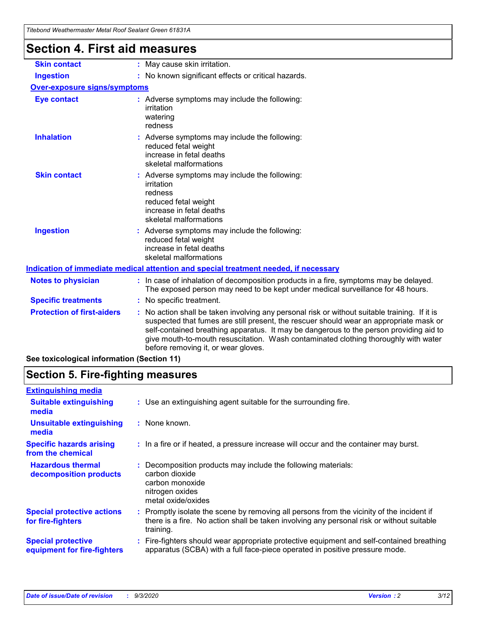| Hitebond Weathermaster Metal Roof Sealant Green 61831A<br><b>Section 4. First aid measures</b> |                                                                                                                                                                                                                                                                                                                                                                                                               |
|------------------------------------------------------------------------------------------------|---------------------------------------------------------------------------------------------------------------------------------------------------------------------------------------------------------------------------------------------------------------------------------------------------------------------------------------------------------------------------------------------------------------|
| <b>Skin contact</b>                                                                            | : May cause skin irritation.                                                                                                                                                                                                                                                                                                                                                                                  |
| <b>Ingestion</b>                                                                               | : No known significant effects or critical hazards.                                                                                                                                                                                                                                                                                                                                                           |
| <b>Over-exposure signs/symptoms</b>                                                            |                                                                                                                                                                                                                                                                                                                                                                                                               |
| <b>Eye contact</b>                                                                             | : Adverse symptoms may include the following:<br>irritation<br>watering<br>redness                                                                                                                                                                                                                                                                                                                            |
| <b>Inhalation</b>                                                                              | : Adverse symptoms may include the following:<br>reduced fetal weight<br>increase in fetal deaths<br>skeletal malformations                                                                                                                                                                                                                                                                                   |
| <b>Skin contact</b>                                                                            | Adverse symptoms may include the following:<br>irritation<br>redness<br>reduced fetal weight<br>increase in fetal deaths<br>skeletal malformations                                                                                                                                                                                                                                                            |
| <b>Ingestion</b>                                                                               | : Adverse symptoms may include the following:<br>reduced fetal weight<br>increase in fetal deaths<br>skeletal malformations                                                                                                                                                                                                                                                                                   |
|                                                                                                | Indication of immediate medical attention and special treatment needed, if necessary                                                                                                                                                                                                                                                                                                                          |
| <b>Notes to physician</b>                                                                      | : In case of inhalation of decomposition products in a fire, symptoms may be delayed.<br>The exposed person may need to be kept under medical surveillance for 48 hours.                                                                                                                                                                                                                                      |
| <b>Specific treatments</b>                                                                     | : No specific treatment.                                                                                                                                                                                                                                                                                                                                                                                      |
| <b>Protection of first-aiders</b>                                                              | No action shall be taken involving any personal risk or without suitable training. If it is<br>suspected that fumes are still present, the rescuer should wear an appropriate mask or<br>self-contained breathing apparatus. It may be dangerous to the person providing aid to<br>give mouth-to-mouth resuscitation. Wash contaminated clothing thoroughly with water<br>before removing it, or wear gloves. |

**See toxicological information (Section 11)**

### **Section 5. Fire-fighting measures**

| <b>Extinguishing media</b>                               |                                                                                                                                                                                                     |
|----------------------------------------------------------|-----------------------------------------------------------------------------------------------------------------------------------------------------------------------------------------------------|
| <b>Suitable extinguishing</b><br>media                   | : Use an extinguishing agent suitable for the surrounding fire.                                                                                                                                     |
| <b>Unsuitable extinguishing</b><br>media                 | : None known.                                                                                                                                                                                       |
| <b>Specific hazards arising</b><br>from the chemical     | : In a fire or if heated, a pressure increase will occur and the container may burst.                                                                                                               |
| <b>Hazardous thermal</b><br>decomposition products       | Decomposition products may include the following materials:<br>carbon dioxide<br>carbon monoxide<br>nitrogen oxides<br>metal oxide/oxides                                                           |
| <b>Special protective actions</b><br>for fire-fighters   | : Promptly isolate the scene by removing all persons from the vicinity of the incident if<br>there is a fire. No action shall be taken involving any personal risk or without suitable<br>training. |
| <b>Special protective</b><br>equipment for fire-fighters | : Fire-fighters should wear appropriate protective equipment and self-contained breathing<br>apparatus (SCBA) with a full face-piece operated in positive pressure mode.                            |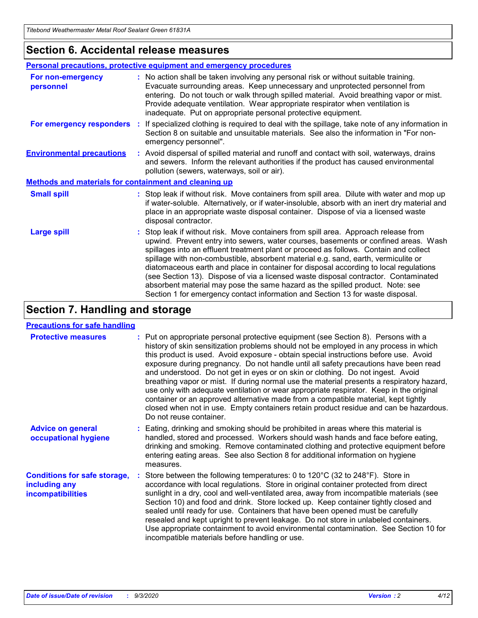### **Section 6. Accidental release measures**

|                                                              | Personal precautions, protective equipment and emergency procedures                                                                                                                                                                                                                                                                                                                                                                                                                                                                                                                                                                                                                                          |  |  |  |  |
|--------------------------------------------------------------|--------------------------------------------------------------------------------------------------------------------------------------------------------------------------------------------------------------------------------------------------------------------------------------------------------------------------------------------------------------------------------------------------------------------------------------------------------------------------------------------------------------------------------------------------------------------------------------------------------------------------------------------------------------------------------------------------------------|--|--|--|--|
| For non-emergency<br>personnel                               | : No action shall be taken involving any personal risk or without suitable training.<br>Evacuate surrounding areas. Keep unnecessary and unprotected personnel from<br>entering. Do not touch or walk through spilled material. Avoid breathing vapor or mist.<br>Provide adequate ventilation. Wear appropriate respirator when ventilation is<br>inadequate. Put on appropriate personal protective equipment.                                                                                                                                                                                                                                                                                             |  |  |  |  |
| For emergency responders                                     | : If specialized clothing is required to deal with the spillage, take note of any information in<br>Section 8 on suitable and unsuitable materials. See also the information in "For non-<br>emergency personnel".                                                                                                                                                                                                                                                                                                                                                                                                                                                                                           |  |  |  |  |
| <b>Environmental precautions</b>                             | : Avoid dispersal of spilled material and runoff and contact with soil, waterways, drains<br>and sewers. Inform the relevant authorities if the product has caused environmental<br>pollution (sewers, waterways, soil or air).                                                                                                                                                                                                                                                                                                                                                                                                                                                                              |  |  |  |  |
| <b>Methods and materials for containment and cleaning up</b> |                                                                                                                                                                                                                                                                                                                                                                                                                                                                                                                                                                                                                                                                                                              |  |  |  |  |
| <b>Small spill</b>                                           | : Stop leak if without risk. Move containers from spill area. Dilute with water and mop up<br>if water-soluble. Alternatively, or if water-insoluble, absorb with an inert dry material and<br>place in an appropriate waste disposal container. Dispose of via a licensed waste<br>disposal contractor.                                                                                                                                                                                                                                                                                                                                                                                                     |  |  |  |  |
| <b>Large spill</b>                                           | : Stop leak if without risk. Move containers from spill area. Approach release from<br>upwind. Prevent entry into sewers, water courses, basements or confined areas. Wash<br>spillages into an effluent treatment plant or proceed as follows. Contain and collect<br>spillage with non-combustible, absorbent material e.g. sand, earth, vermiculite or<br>diatomaceous earth and place in container for disposal according to local regulations<br>(see Section 13). Dispose of via a licensed waste disposal contractor. Contaminated<br>absorbent material may pose the same hazard as the spilled product. Note: see<br>Section 1 for emergency contact information and Section 13 for waste disposal. |  |  |  |  |

### **Section 7. Handling and storage**

#### **Precautions for safe handling**

| <b>Protective measures</b>                                                       | : Put on appropriate personal protective equipment (see Section 8). Persons with a<br>history of skin sensitization problems should not be employed in any process in which<br>this product is used. Avoid exposure - obtain special instructions before use. Avoid<br>exposure during pregnancy. Do not handle until all safety precautions have been read<br>and understood. Do not get in eyes or on skin or clothing. Do not ingest. Avoid<br>breathing vapor or mist. If during normal use the material presents a respiratory hazard,<br>use only with adequate ventilation or wear appropriate respirator. Keep in the original<br>container or an approved alternative made from a compatible material, kept tightly<br>closed when not in use. Empty containers retain product residue and can be hazardous.<br>Do not reuse container. |
|----------------------------------------------------------------------------------|--------------------------------------------------------------------------------------------------------------------------------------------------------------------------------------------------------------------------------------------------------------------------------------------------------------------------------------------------------------------------------------------------------------------------------------------------------------------------------------------------------------------------------------------------------------------------------------------------------------------------------------------------------------------------------------------------------------------------------------------------------------------------------------------------------------------------------------------------|
| <b>Advice on general</b><br>occupational hygiene                                 | : Eating, drinking and smoking should be prohibited in areas where this material is<br>handled, stored and processed. Workers should wash hands and face before eating,<br>drinking and smoking. Remove contaminated clothing and protective equipment before<br>entering eating areas. See also Section 8 for additional information on hygiene<br>measures.                                                                                                                                                                                                                                                                                                                                                                                                                                                                                    |
| <b>Conditions for safe storage,</b><br>including any<br><i>incompatibilities</i> | Store between the following temperatures: 0 to 120°C (32 to 248°F). Store in<br>accordance with local regulations. Store in original container protected from direct<br>sunlight in a dry, cool and well-ventilated area, away from incompatible materials (see<br>Section 10) and food and drink. Store locked up. Keep container tightly closed and<br>sealed until ready for use. Containers that have been opened must be carefully<br>resealed and kept upright to prevent leakage. Do not store in unlabeled containers.<br>Use appropriate containment to avoid environmental contamination. See Section 10 for<br>incompatible materials before handling or use.                                                                                                                                                                         |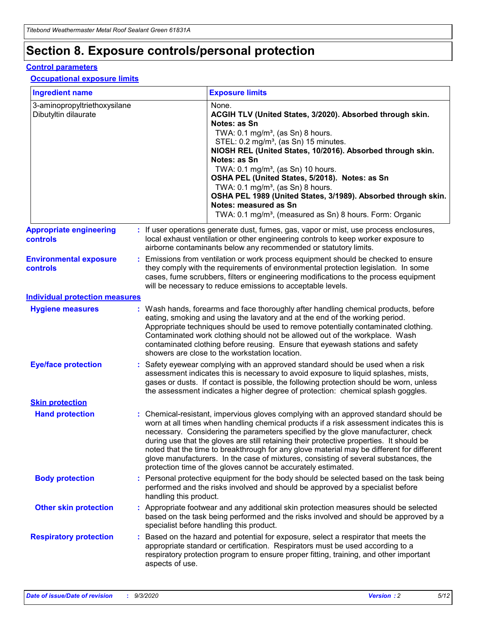# **Section 8. Exposure controls/personal protection**

#### **Control parameters**

#### **Occupational exposure limits**

| <b>Ingredient name</b>                               |    |                        | <b>Exposure limits</b>                                                                                                                                                                                                                                                                                                                                                                                                                                                                                                                                                                                                 |
|------------------------------------------------------|----|------------------------|------------------------------------------------------------------------------------------------------------------------------------------------------------------------------------------------------------------------------------------------------------------------------------------------------------------------------------------------------------------------------------------------------------------------------------------------------------------------------------------------------------------------------------------------------------------------------------------------------------------------|
| 3-aminopropyltriethoxysilane<br>Dibutyltin dilaurate |    |                        | None.<br>ACGIH TLV (United States, 3/2020). Absorbed through skin.<br>Notes: as Sn<br>TWA: $0.1 \text{ mg/m}^3$ , (as Sn) 8 hours.<br>STEL: 0.2 mg/m <sup>3</sup> , (as Sn) 15 minutes.<br>NIOSH REL (United States, 10/2016). Absorbed through skin.<br>Notes: as Sn<br>TWA: 0.1 mg/m <sup>3</sup> , (as Sn) 10 hours.<br>OSHA PEL (United States, 5/2018). Notes: as Sn<br>TWA: $0.1 \text{ mg/m}^3$ , (as Sn) 8 hours.<br>OSHA PEL 1989 (United States, 3/1989). Absorbed through skin.<br>Notes: measured as Sn<br>TWA: 0.1 mg/m <sup>3</sup> , (measured as Sn) 8 hours. Form: Organic                            |
| <b>Appropriate engineering</b><br>controls           |    |                        | : If user operations generate dust, fumes, gas, vapor or mist, use process enclosures,<br>local exhaust ventilation or other engineering controls to keep worker exposure to<br>airborne contaminants below any recommended or statutory limits.                                                                                                                                                                                                                                                                                                                                                                       |
| <b>Environmental exposure</b><br>controls            |    |                        | Emissions from ventilation or work process equipment should be checked to ensure<br>they comply with the requirements of environmental protection legislation. In some<br>cases, fume scrubbers, filters or engineering modifications to the process equipment<br>will be necessary to reduce emissions to acceptable levels.                                                                                                                                                                                                                                                                                          |
| <b>Individual protection measures</b>                |    |                        |                                                                                                                                                                                                                                                                                                                                                                                                                                                                                                                                                                                                                        |
| <b>Hygiene measures</b>                              |    |                        | : Wash hands, forearms and face thoroughly after handling chemical products, before<br>eating, smoking and using the lavatory and at the end of the working period.<br>Appropriate techniques should be used to remove potentially contaminated clothing.<br>Contaminated work clothing should not be allowed out of the workplace. Wash<br>contaminated clothing before reusing. Ensure that eyewash stations and safety<br>showers are close to the workstation location.                                                                                                                                            |
| <b>Eye/face protection</b>                           |    |                        | : Safety eyewear complying with an approved standard should be used when a risk<br>assessment indicates this is necessary to avoid exposure to liquid splashes, mists,<br>gases or dusts. If contact is possible, the following protection should be worn, unless<br>the assessment indicates a higher degree of protection: chemical splash goggles.                                                                                                                                                                                                                                                                  |
| <b>Skin protection</b>                               |    |                        |                                                                                                                                                                                                                                                                                                                                                                                                                                                                                                                                                                                                                        |
| <b>Hand protection</b>                               |    |                        | : Chemical-resistant, impervious gloves complying with an approved standard should be<br>worn at all times when handling chemical products if a risk assessment indicates this is<br>necessary. Considering the parameters specified by the glove manufacturer, check<br>during use that the gloves are still retaining their protective properties. It should be<br>noted that the time to breakthrough for any glove material may be different for different<br>glove manufacturers. In the case of mixtures, consisting of several substances, the<br>protection time of the gloves cannot be accurately estimated. |
| <b>Body protection</b>                               |    | handling this product. | Personal protective equipment for the body should be selected based on the task being<br>performed and the risks involved and should be approved by a specialist before                                                                                                                                                                                                                                                                                                                                                                                                                                                |
| <b>Other skin protection</b>                         |    |                        | : Appropriate footwear and any additional skin protection measures should be selected<br>based on the task being performed and the risks involved and should be approved by a<br>specialist before handling this product.                                                                                                                                                                                                                                                                                                                                                                                              |
| <b>Respiratory protection</b>                        | ÷. | aspects of use.        | Based on the hazard and potential for exposure, select a respirator that meets the<br>appropriate standard or certification. Respirators must be used according to a<br>respiratory protection program to ensure proper fitting, training, and other important                                                                                                                                                                                                                                                                                                                                                         |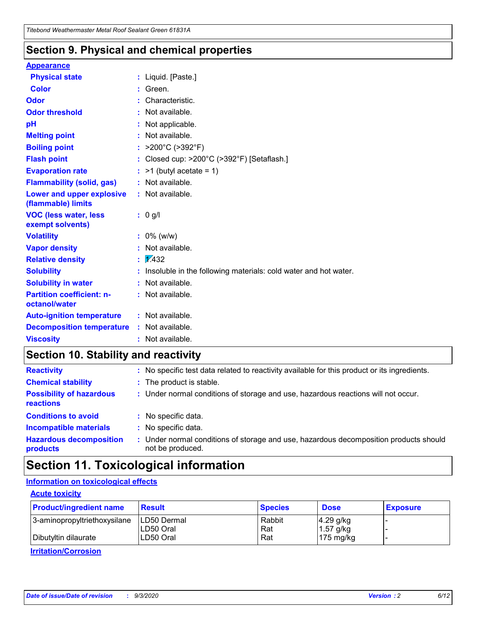### **Section 9. Physical and chemical properties**

#### **Appearance**

| <b>Physical state</b>                             |   | : Liquid. [Paste.]                                              |
|---------------------------------------------------|---|-----------------------------------------------------------------|
| <b>Color</b>                                      |   | Green.                                                          |
| Odor                                              |   | Characteristic.                                                 |
| <b>Odor threshold</b>                             | ÷ | Not available.                                                  |
| рH                                                |   | Not applicable.                                                 |
| <b>Melting point</b>                              |   | : Not available.                                                |
| <b>Boiling point</b>                              |   | >200°C (>392°F)                                                 |
| <b>Flash point</b>                                |   | Closed cup: >200°C (>392°F) [Setaflash.]                        |
| <b>Evaporation rate</b>                           |   | $:$ >1 (butyl acetate = 1)                                      |
| <b>Flammability (solid, gas)</b>                  |   | : Not available.                                                |
| Lower and upper explosive<br>(flammable) limits   |   | : Not available.                                                |
| <b>VOC (less water, less)</b><br>exempt solvents) |   | : 0 g/l                                                         |
| <b>Volatility</b>                                 |   | $: 0\%$ (w/w)                                                   |
| <b>Vapor density</b>                              |   | Not available.                                                  |
| <b>Relative density</b>                           |   | $\mathbf{1}$ $\mathbf{\sqrt{432}}$                              |
| <b>Solubility</b>                                 |   | Insoluble in the following materials: cold water and hot water. |
| <b>Solubility in water</b>                        |   | Not available.                                                  |
| <b>Partition coefficient: n-</b><br>octanol/water |   | $:$ Not available.                                              |
| <b>Auto-ignition temperature</b>                  |   | : Not available.                                                |
| <b>Decomposition temperature</b>                  |   | : Not available.                                                |
| <b>Viscosity</b>                                  |   | $:$ Not available.                                              |

### **Section 10. Stability and reactivity**

| <b>Reactivity</b>                            |    | : No specific test data related to reactivity available for this product or its ingredients.            |
|----------------------------------------------|----|---------------------------------------------------------------------------------------------------------|
| <b>Chemical stability</b>                    |    | : The product is stable.                                                                                |
| <b>Possibility of hazardous</b><br>reactions |    | : Under normal conditions of storage and use, hazardous reactions will not occur.                       |
| <b>Conditions to avoid</b>                   |    | : No specific data.                                                                                     |
| <b>Incompatible materials</b>                | ٠. | No specific data.                                                                                       |
| <b>Hazardous decomposition</b><br>products   | ÷. | Under normal conditions of storage and use, hazardous decomposition products should<br>not be produced. |

# **Section 11. Toxicological information**

#### **Information on toxicological effects**

#### **Acute toxicity**

| <b>Product/ingredient name</b> | <b>Result</b>           | <b>Species</b> | <b>Dose</b>                | <b>Exposure</b> |
|--------------------------------|-------------------------|----------------|----------------------------|-----------------|
| 3-aminopropyltriethoxysilane   | <b>ILD50 Dermal</b>     | Rabbit         | 4.29 g/kg                  |                 |
| Dibutyltin dilaurate           | ILD50 Oral<br>LD50 Oral | Rat<br>Rat     | $1.57$ g/kg<br>175 $mg/kg$ |                 |
|                                |                         |                |                            |                 |

**Irritation/Corrosion**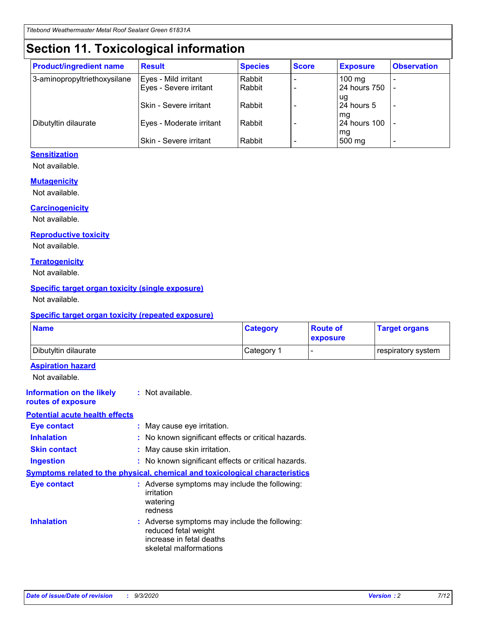# **Section 11. Toxicological information**

| <b>Product/ingredient name</b> | <b>Result</b>            | <b>Species</b> | <b>Score</b> | <b>Exposure</b>    | <b>Observation</b> |
|--------------------------------|--------------------------|----------------|--------------|--------------------|--------------------|
| 3-aminopropyltriethoxysilane   | Eyes - Mild irritant     | Rabbit         |              | $100 \text{ mg}$   |                    |
|                                | Eyes - Severe irritant   | Rabbit         |              | 24 hours 750       |                    |
|                                |                          |                |              | ug                 |                    |
|                                | Skin - Severe irritant   | Rabbit         |              | 24 hours 5         | -                  |
| Dibutyltin dilaurate           | Eyes - Moderate irritant | Rabbit         |              | mg<br>24 hours 100 |                    |
|                                |                          |                |              | mg                 |                    |
|                                | Skin - Severe irritant   | Rabbit         |              | 500 mg             | -                  |

#### **Sensitization**

Not available.

#### **Mutagenicity**

Not available.

#### **Carcinogenicity**

Not available.

#### **Reproductive toxicity**

Not available.

#### **Teratogenicity**

Not available.

#### **Specific target organ toxicity (single exposure)**

Not available.

#### **Specific target organ toxicity (repeated exposure)**

| <b>Name</b>                                                                  |                                                                                                                             | <b>Category</b>                                     | <b>Route of</b><br>exposure | <b>Target organs</b> |  |
|------------------------------------------------------------------------------|-----------------------------------------------------------------------------------------------------------------------------|-----------------------------------------------------|-----------------------------|----------------------|--|
| Dibutyltin dilaurate                                                         |                                                                                                                             | Category 1                                          | $\overline{\phantom{0}}$    | respiratory system   |  |
| <b>Aspiration hazard</b><br>Not available.                                   |                                                                                                                             |                                                     |                             |                      |  |
| <b>Information on the likely</b><br>routes of exposure                       | : Not available.                                                                                                            |                                                     |                             |                      |  |
| <b>Potential acute health effects</b>                                        |                                                                                                                             |                                                     |                             |                      |  |
| <b>Eye contact</b>                                                           |                                                                                                                             | : May cause eye irritation.                         |                             |                      |  |
| <b>Inhalation</b>                                                            |                                                                                                                             | : No known significant effects or critical hazards. |                             |                      |  |
| <b>Skin contact</b>                                                          | : May cause skin irritation.                                                                                                |                                                     |                             |                      |  |
| <b>Ingestion</b>                                                             |                                                                                                                             | : No known significant effects or critical hazards. |                             |                      |  |
| Symptoms related to the physical, chemical and toxicological characteristics |                                                                                                                             |                                                     |                             |                      |  |
| <b>Eye contact</b>                                                           | : Adverse symptoms may include the following:<br>irritation<br>watering<br>redness                                          |                                                     |                             |                      |  |
| <b>Inhalation</b>                                                            | : Adverse symptoms may include the following:<br>reduced fetal weight<br>increase in fetal deaths<br>skeletal malformations |                                                     |                             |                      |  |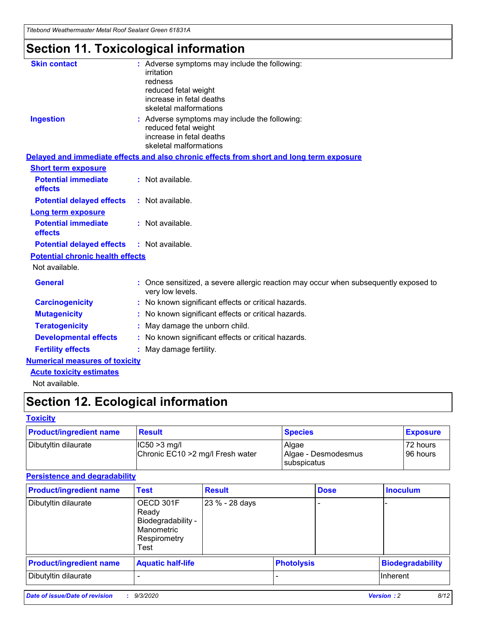*Titebond Weathermaster Metal Roof Sealant Green 61831A*

# **Section 11. Toxicological information**

| <b>Skin contact</b>                     | : Adverse symptoms may include the following:                                                            |
|-----------------------------------------|----------------------------------------------------------------------------------------------------------|
|                                         | irritation                                                                                               |
|                                         | redness<br>reduced fetal weight                                                                          |
|                                         | increase in fetal deaths                                                                                 |
|                                         | skeletal malformations                                                                                   |
| <b>Ingestion</b>                        | : Adverse symptoms may include the following:                                                            |
|                                         | reduced fetal weight                                                                                     |
|                                         | increase in fetal deaths<br>skeletal malformations                                                       |
|                                         | Delayed and immediate effects and also chronic effects from short and long term exposure                 |
| <b>Short term exposure</b>              |                                                                                                          |
| <b>Potential immediate</b>              | : Not available.                                                                                         |
| effects                                 |                                                                                                          |
| <b>Potential delayed effects</b>        | : Not available.                                                                                         |
| <b>Long term exposure</b>               |                                                                                                          |
| <b>Potential immediate</b><br>effects   | : Not available.                                                                                         |
| <b>Potential delayed effects</b>        | : Not available.                                                                                         |
| <b>Potential chronic health effects</b> |                                                                                                          |
| Not available.                          |                                                                                                          |
| <b>General</b>                          | : Once sensitized, a severe allergic reaction may occur when subsequently exposed to<br>very low levels. |
| <b>Carcinogenicity</b>                  | : No known significant effects or critical hazards.                                                      |
| <b>Mutagenicity</b>                     | No known significant effects or critical hazards.                                                        |
| <b>Teratogenicity</b>                   | May damage the unborn child.                                                                             |
| <b>Developmental effects</b>            | : No known significant effects or critical hazards.                                                      |
| <b>Fertility effects</b>                | May damage fertility.                                                                                    |
| <b>Numerical measures of toxicity</b>   |                                                                                                          |
| <b>Acute toxicity estimates</b>         |                                                                                                          |
| Not available.                          |                                                                                                          |

# **Section 12. Ecological information**

#### **Toxicity**

| <b>Product/ingredient name</b> | <b>Result</b>                                       | <b>Species</b>               | <b>Exposure</b>       |
|--------------------------------|-----------------------------------------------------|------------------------------|-----------------------|
| Dibutyltin dilaurate           | $ IC50>3$ mg/l<br>Chronic EC10 > 2 mg/l Fresh water | Algae<br>Algae - Desmodesmus | 72 hours<br>196 hours |
|                                |                                                     | subspicatus                  |                       |

#### **Persistence and degradability**

| <b>Product/ingredient name</b> | <b>Test</b>                                                                    | <b>Result</b>  |                   | <b>Dose</b> | <b>Inoculum</b>         |
|--------------------------------|--------------------------------------------------------------------------------|----------------|-------------------|-------------|-------------------------|
| Dibutyltin dilaurate           | OECD 301F<br>Ready<br>Biodegradability -<br>Manometric<br>Respirometry<br>Test | 23 % - 28 days |                   |             |                         |
| <b>Product/ingredient name</b> | <b>Aquatic half-life</b>                                                       |                | <b>Photolysis</b> |             | <b>Biodegradability</b> |
| Dibutyltin dilaurate           |                                                                                |                |                   |             | <b>Inherent</b>         |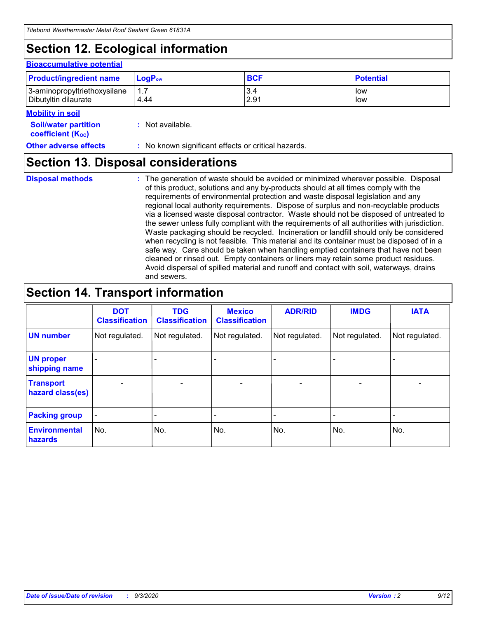# **Section 12. Ecological information**

#### **Bioaccumulative potential**

| <b>Product/ingredient name</b> | $LogPow$ | <b>BCF</b> | <b>Potential</b> |
|--------------------------------|----------|------------|------------------|
| 3-aminopropyltriethoxysilane   | 1.7      | 3.4        | low              |
| Dibutyltin dilaurate           | 4.44     | 2.91       | low              |

#### **Mobility in soil**

| <b>INIUDIIILY III SUIL</b>                              |                                                     |
|---------------------------------------------------------|-----------------------------------------------------|
| <b>Soil/water partition</b><br><b>coefficient (Koc)</b> | : Not available.                                    |
| <b>Other adverse effects</b>                            | : No known significant effects or critical hazards. |

### **Section 13. Disposal considerations**

**Disposal methods :**

The generation of waste should be avoided or minimized wherever possible. Disposal of this product, solutions and any by-products should at all times comply with the requirements of environmental protection and waste disposal legislation and any regional local authority requirements. Dispose of surplus and non-recyclable products via a licensed waste disposal contractor. Waste should not be disposed of untreated to the sewer unless fully compliant with the requirements of all authorities with jurisdiction. Waste packaging should be recycled. Incineration or landfill should only be considered when recycling is not feasible. This material and its container must be disposed of in a safe way. Care should be taken when handling emptied containers that have not been cleaned or rinsed out. Empty containers or liners may retain some product residues. Avoid dispersal of spilled material and runoff and contact with soil, waterways, drains and sewers.

### **Section 14. Transport information**

|                                      | <b>DOT</b><br><b>Classification</b> | <b>TDG</b><br><b>Classification</b> | <b>Mexico</b><br><b>Classification</b> | <b>ADR/RID</b>           | <b>IMDG</b>              | <b>IATA</b>    |
|--------------------------------------|-------------------------------------|-------------------------------------|----------------------------------------|--------------------------|--------------------------|----------------|
| <b>UN number</b>                     | Not regulated.                      | Not regulated.                      | Not regulated.                         | Not regulated.           | Not regulated.           | Not regulated. |
| <b>UN proper</b><br>shipping name    |                                     |                                     |                                        |                          |                          |                |
| <b>Transport</b><br>hazard class(es) |                                     | $\overline{\phantom{0}}$            | $\qquad \qquad \blacksquare$           | $\overline{\phantom{0}}$ | $\overline{\phantom{0}}$ |                |
| <b>Packing group</b>                 |                                     |                                     |                                        |                          |                          |                |
| <b>Environmental</b><br>hazards      | No.                                 | No.                                 | No.                                    | No.                      | No.                      | No.            |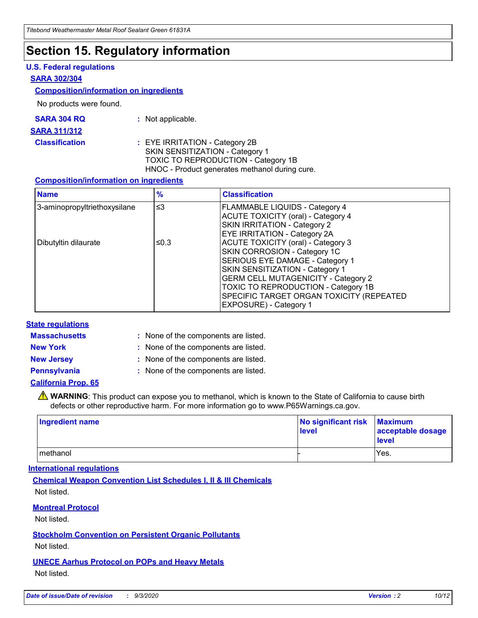### **Section 15. Regulatory information**

#### **U.S. Federal regulations**

#### **SARA 302/304**

#### **Composition/information on ingredients**

No products were found.

| SARA 304 RQ | Not applicable. |
|-------------|-----------------|
|-------------|-----------------|

#### **SARA 311/312**

#### **Classification :** EYE IRRITATION - Category 2B SKIN SENSITIZATION - Category 1 TOXIC TO REPRODUCTION - Category 1B HNOC - Product generates methanol during cure.

#### **Composition/information on ingredients**

| <b>Name</b>                  | $\frac{9}{6}$ | <b>Classification</b>                                                                                                                                                                                                                                                                                      |
|------------------------------|---------------|------------------------------------------------------------------------------------------------------------------------------------------------------------------------------------------------------------------------------------------------------------------------------------------------------------|
| 3-aminopropyltriethoxysilane | $\leq$ 3      | <b>FLAMMABLE LIQUIDS - Category 4</b><br><b>ACUTE TOXICITY (oral) - Category 4</b><br><b>SKIN IRRITATION - Category 2</b><br>EYE IRRITATION - Category 2A                                                                                                                                                  |
| Dibutyltin dilaurate         | ≤0.3          | <b>ACUTE TOXICITY (oral) - Category 3</b><br>SKIN CORROSION - Category 1C<br>SERIOUS EYE DAMAGE - Category 1<br>SKIN SENSITIZATION - Category 1<br><b>GERM CELL MUTAGENICITY - Category 2</b><br>TOXIC TO REPRODUCTION - Category 1B<br>SPECIFIC TARGET ORGAN TOXICITY (REPEATED<br>EXPOSURE) - Category 1 |

#### **State regulations**

**Massachusetts :**

: None of the components are listed.

**New York :** None of the components are listed. **New Jersey :** None of the components are listed.

**Pennsylvania :** None of the components are listed.

#### **California Prop. 65**

WARNING: This product can expose you to methanol, which is known to the State of California to cause birth defects or other reproductive harm. For more information go to www.P65Warnings.ca.gov.

| Ingredient name | No significant risk Maximum<br>level | acceptable dosage<br><b>level</b> |
|-----------------|--------------------------------------|-----------------------------------|
| I methanol      |                                      | Yes.                              |

#### **International regulations**

**Chemical Weapon Convention List Schedules I, II & III Chemicals** Not listed.

#### **Montreal Protocol**

Not listed.

**Stockholm Convention on Persistent Organic Pollutants**

Not listed.

#### **UNECE Aarhus Protocol on POPs and Heavy Metals** Not listed.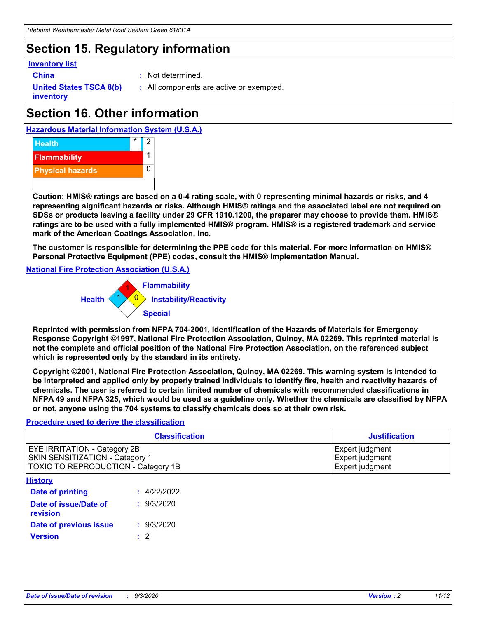# **Section 15. Regulatory information**

#### **Inventory list**

- 
- **China :** Not determined.

**United States TSCA 8(b) inventory**

**:** All components are active or exempted.

# **Section 16. Other information**

**Hazardous Material Information System (U.S.A.)**



**Caution: HMIS® ratings are based on a 0-4 rating scale, with 0 representing minimal hazards or risks, and 4 representing significant hazards or risks. Although HMIS® ratings and the associated label are not required on SDSs or products leaving a facility under 29 CFR 1910.1200, the preparer may choose to provide them. HMIS® ratings are to be used with a fully implemented HMIS® program. HMIS® is a registered trademark and service mark of the American Coatings Association, Inc.**

**The customer is responsible for determining the PPE code for this material. For more information on HMIS® Personal Protective Equipment (PPE) codes, consult the HMIS® Implementation Manual.**

**National Fire Protection Association (U.S.A.)**



**Reprinted with permission from NFPA 704-2001, Identification of the Hazards of Materials for Emergency Response Copyright ©1997, National Fire Protection Association, Quincy, MA 02269. This reprinted material is not the complete and official position of the National Fire Protection Association, on the referenced subject which is represented only by the standard in its entirety.**

**Copyright ©2001, National Fire Protection Association, Quincy, MA 02269. This warning system is intended to be interpreted and applied only by properly trained individuals to identify fire, health and reactivity hazards of chemicals. The user is referred to certain limited number of chemicals with recommended classifications in NFPA 49 and NFPA 325, which would be used as a guideline only. Whether the chemicals are classified by NFPA or not, anyone using the 704 systems to classify chemicals does so at their own risk.**

#### **Procedure used to derive the classification**

| <b>Classification</b>                                                                                                | <b>Justification</b>                                  |
|----------------------------------------------------------------------------------------------------------------------|-------------------------------------------------------|
| <b>EYE IRRITATION - Category 2B</b><br><b>SKIN SENSITIZATION - Category 1</b><br>TOXIC TO REPRODUCTION - Category 1B | Expert judgment<br>Expert judgment<br>Expert judgment |
| <b>History</b>                                                                                                       |                                                       |

| <b>Date of printing</b>           | : 4/22/2022 |
|-----------------------------------|-------------|
| Date of issue/Date of<br>revision | : 9/3/2020  |
| Date of previous issue            | : 9/3/2020  |
| <b>Version</b>                    | $\cdot$ 2   |
|                                   |             |